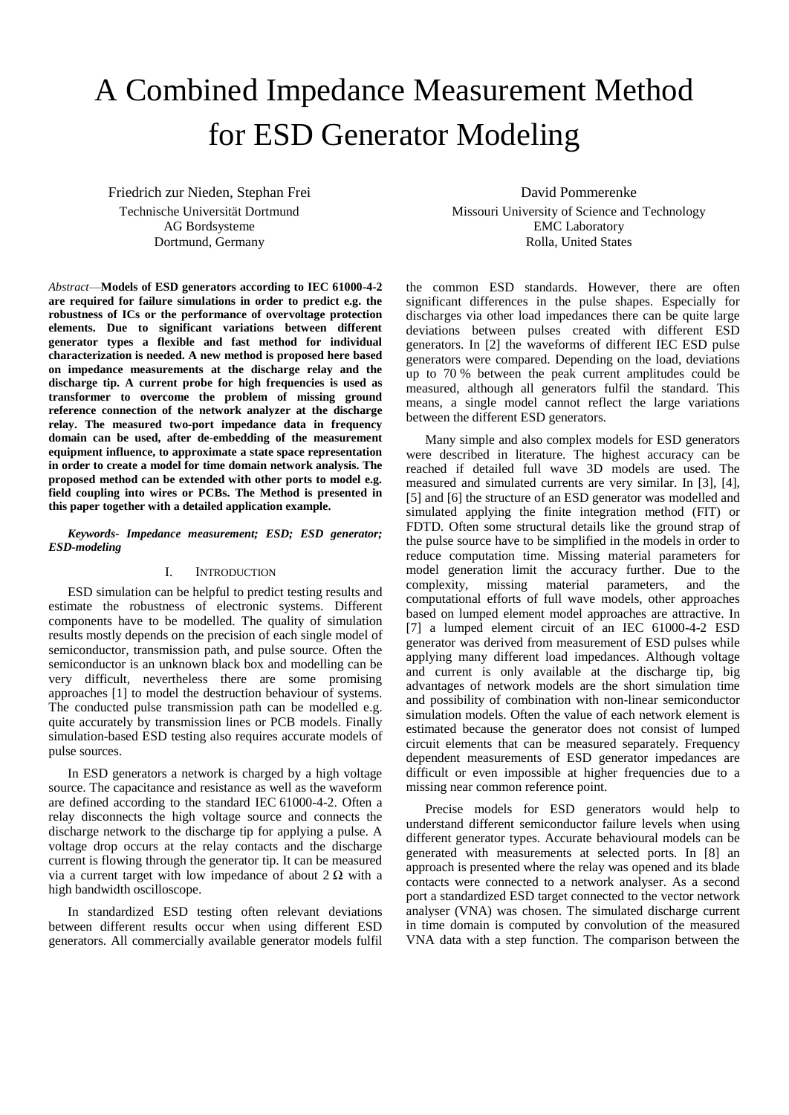# A Combined Impedance Measurement Method for ESD Generator Modeling

Friedrich zur Nieden, Stephan Frei Technische Universität Dortmund AG Bordsysteme Dortmund, Germany

*Abstract*—**Models of ESD generators according to IEC 61000-4-2 are required for failure simulations in order to predict e.g. the robustness of ICs or the performance of overvoltage protection elements. Due to significant variations between different generator types a flexible and fast method for individual characterization is needed. A new method is proposed here based on impedance measurements at the discharge relay and the discharge tip. A current probe for high frequencies is used as transformer to overcome the problem of missing ground reference connection of the network analyzer at the discharge relay. The measured two-port impedance data in frequency domain can be used, after de-embedding of the measurement equipment influence, to approximate a state space representation in order to create a model for time domain network analysis. The proposed method can be extended with other ports to model e.g. field coupling into wires or PCBs. The Method is presented in this paper together with a detailed application example.** 

*Keywords- Impedance measurement; ESD; ESD generator; ESD-modeling*

# I. INTRODUCTION

ESD simulation can be helpful to predict testing results and estimate the robustness of electronic systems. Different components have to be modelled. The quality of simulation results mostly depends on the precision of each single model of semiconductor, transmission path, and pulse source. Often the semiconductor is an unknown black box and modelling can be very difficult, nevertheless there are some promising approaches [\[1\]](#page-5-0) to model the destruction behaviour of systems. The conducted pulse transmission path can be modelled e.g. quite accurately by transmission lines or PCB models. Finally simulation-based ESD testing also requires accurate models of pulse sources.

In ESD generators a network is charged by a high voltage source. The capacitance and resistance as well as the waveform are defined according to the standard IEC 61000-4-2. Often a relay disconnects the high voltage source and connects the discharge network to the discharge tip for applying a pulse. A voltage drop occurs at the relay contacts and the discharge current is flowing through the generator tip. It can be measured via a current target with low impedance of about  $2 \Omega$  with a high bandwidth oscilloscope.

In standardized ESD testing often relevant deviations between different results occur when using different ESD generators. All commercially available generator models fulfil

David Pommerenke Missouri University of Science and Technology EMC Laboratory Rolla, United States

the common ESD standards. However, there are often significant differences in the pulse shapes. Especially for discharges via other load impedances there can be quite large deviations between pulses created with different ESD generators. In [\[2\]](#page-5-1) the waveforms of different IEC ESD pulse generators were compared. Depending on the load, deviations up to 70 % between the peak current amplitudes could be measured, although all generators fulfil the standard. This means, a single model cannot reflect the large variations between the different ESD generators.

Many simple and also complex models for ESD generators were described in literature. The highest accuracy can be reached if detailed full wave 3D models are used. The measured and simulated currents are very similar. In [\[3\],](#page-5-2) [\[4\],](#page-5-3) [\[5\]](#page-5-4) an[d \[6\]](#page-5-5) the structure of an ESD generator was modelled and simulated applying the finite integration method (FIT) or FDTD. Often some structural details like the ground strap of the pulse source have to be simplified in the models in order to reduce computation time. Missing material parameters for model generation limit the accuracy further. Due to the complexity, missing material parameters, and the computational efforts of full wave models, other approaches based on lumped element model approaches are attractive. In [\[7\]](#page-5-6) a lumped element circuit of an IEC 61000-4-2 ESD generator was derived from measurement of ESD pulses while applying many different load impedances. Although voltage and current is only available at the discharge tip, big advantages of network models are the short simulation time and possibility of combination with non-linear semiconductor simulation models. Often the value of each network element is estimated because the generator does not consist of lumped circuit elements that can be measured separately. Frequency dependent measurements of ESD generator impedances are difficult or even impossible at higher frequencies due to a missing near common reference point.

Precise models for ESD generators would help to understand different semiconductor failure levels when using different generator types. Accurate behavioural models can be generated with measurements at selected ports. In [\[8\]](#page-5-7) an approach is presented where the relay was opened and its blade contacts were connected to a network analyser. As a second port a standardized ESD target connected to the vector network analyser (VNA) was chosen. The simulated discharge current in time domain is computed by convolution of the measured VNA data with a step function. The comparison between the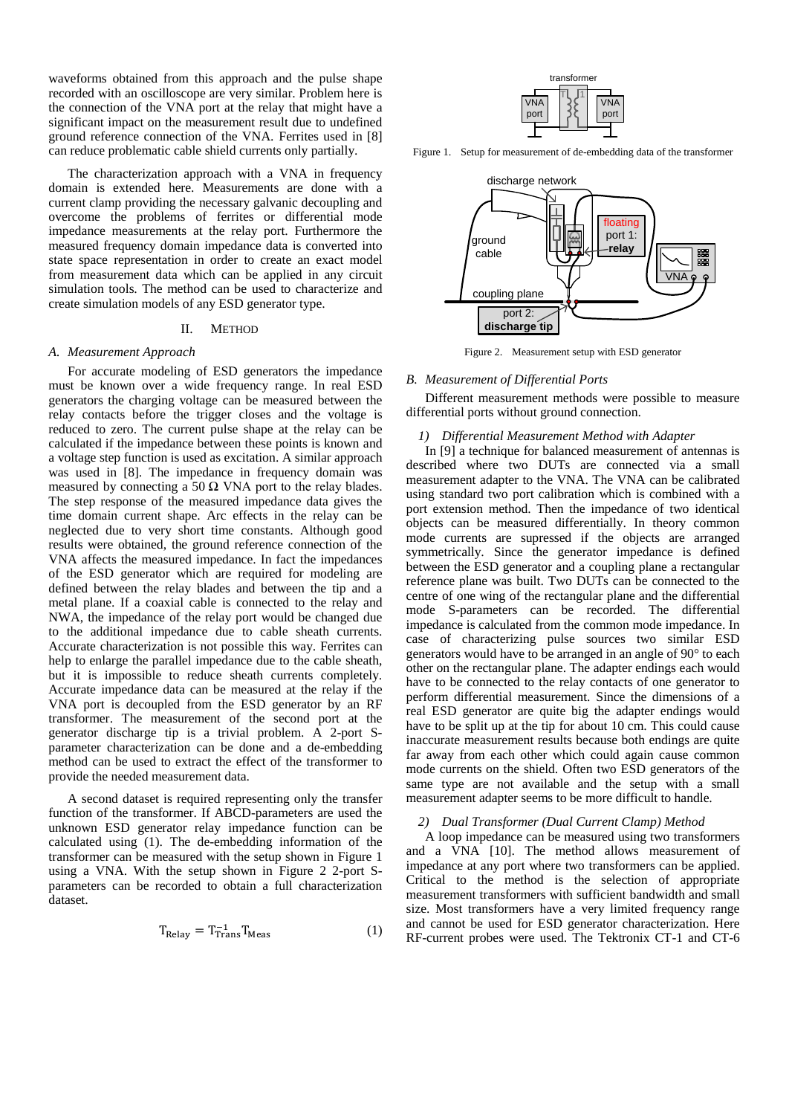waveforms obtained from this approach and the pulse shape recorded with an oscilloscope are very similar. Problem here is the connection of the VNA port at the relay that might have a significant impact on the measurement result due to undefined ground reference connection of the VNA. Ferrites used in [\[8\]](#page-5-7) can reduce problematic cable shield currents only partially.

The characterization approach with a VNA in frequency domain is extended here. Measurements are done with a current clamp providing the necessary galvanic decoupling and overcome the problems of ferrites or differential mode impedance measurements at the relay port. Furthermore the measured frequency domain impedance data is converted into state space representation in order to create an exact model from measurement data which can be applied in any circuit simulation tools. The method can be used to characterize and create simulation models of any ESD generator type.

## II. METHOD

## *A. Measurement Approach*

For accurate modeling of ESD generators the impedance must be known over a wide frequency range. In real ESD generators the charging voltage can be measured between the relay contacts before the trigger closes and the voltage is reduced to zero. The current pulse shape at the relay can be calculated if the impedance between these points is known and a voltage step function is used as excitation. A similar approach was used in [\[8\].](#page-5-7) The impedance in frequency domain was measured by connecting a 50  $\Omega$  VNA port to the relay blades. The step response of the measured impedance data gives the time domain current shape. Arc effects in the relay can be neglected due to very short time constants. Although good results were obtained, the ground reference connection of the VNA affects the measured impedance. In fact the impedances of the ESD generator which are required for modeling are defined between the relay blades and between the tip and a metal plane. If a coaxial cable is connected to the relay and NWA, the impedance of the relay port would be changed due to the additional impedance due to cable sheath currents. Accurate characterization is not possible this way. Ferrites can help to enlarge the parallel impedance due to the cable sheath, but it is impossible to reduce sheath currents completely. Accurate impedance data can be measured at the relay if the VNA port is decoupled from the ESD generator by an RF transformer. The measurement of the second port at the generator discharge tip is a trivial problem. A 2-port Sparameter characterization can be done and a de-embedding method can be used to extract the effect of the transformer to provide the needed measurement data.

A second dataset is required representing only the transfer function of the transformer. If ABCD-parameters are used the unknown ESD generator relay impedance function can be calculated using (1). The de-embedding information of the transformer can be measured with the setup shown in Figure 1 using a VNA. With the setup shown in Figure 2 2-port Sparameters can be recorded to obtain a full characterization dataset.

$$
T_{\text{Relay}} = T_{\text{Trans}}^{-1} T_{\text{Meas}} \tag{1}
$$



Figure 1. Setup for measurement of de-embedding data of the transformer



Figure 2. Measurement setup with ESD generator

#### *B. Measurement of Differential Ports*

Different measurement methods were possible to measure differential ports without ground connection.

# *1) Differential Measurement Method with Adapter*

In [\[9\]](#page-5-8) a technique for balanced measurement of antennas is described where two DUTs are connected via a small measurement adapter to the VNA. The VNA can be calibrated using standard two port calibration which is combined with a port extension method. Then the impedance of two identical objects can be measured differentially. In theory common mode currents are supressed if the objects are arranged symmetrically. Since the generator impedance is defined between the ESD generator and a coupling plane a rectangular reference plane was built. Two DUTs can be connected to the centre of one wing of the rectangular plane and the differential mode S-parameters can be recorded. The differential impedance is calculated from the common mode impedance. In case of characterizing pulse sources two similar ESD generators would have to be arranged in an angle of 90° to each other on the rectangular plane. The adapter endings each would have to be connected to the relay contacts of one generator to perform differential measurement. Since the dimensions of a real ESD generator are quite big the adapter endings would have to be split up at the tip for about 10 cm. This could cause inaccurate measurement results because both endings are quite far away from each other which could again cause common mode currents on the shield. Often two ESD generators of the same type are not available and the setup with a small measurement adapter seems to be more difficult to handle.

# *2) Dual Transformer (Dual Current Clamp) Method*

A loop impedance can be measured using two transformers and a VNA [\[10\].](#page-5-9) The method allows measurement of impedance at any port where two transformers can be applied. Critical to the method is the selection of appropriate measurement transformers with sufficient bandwidth and small size. Most transformers have a very limited frequency range and cannot be used for ESD generator characterization. Here RF-current probes were used. The Tektronix CT-1 and CT-6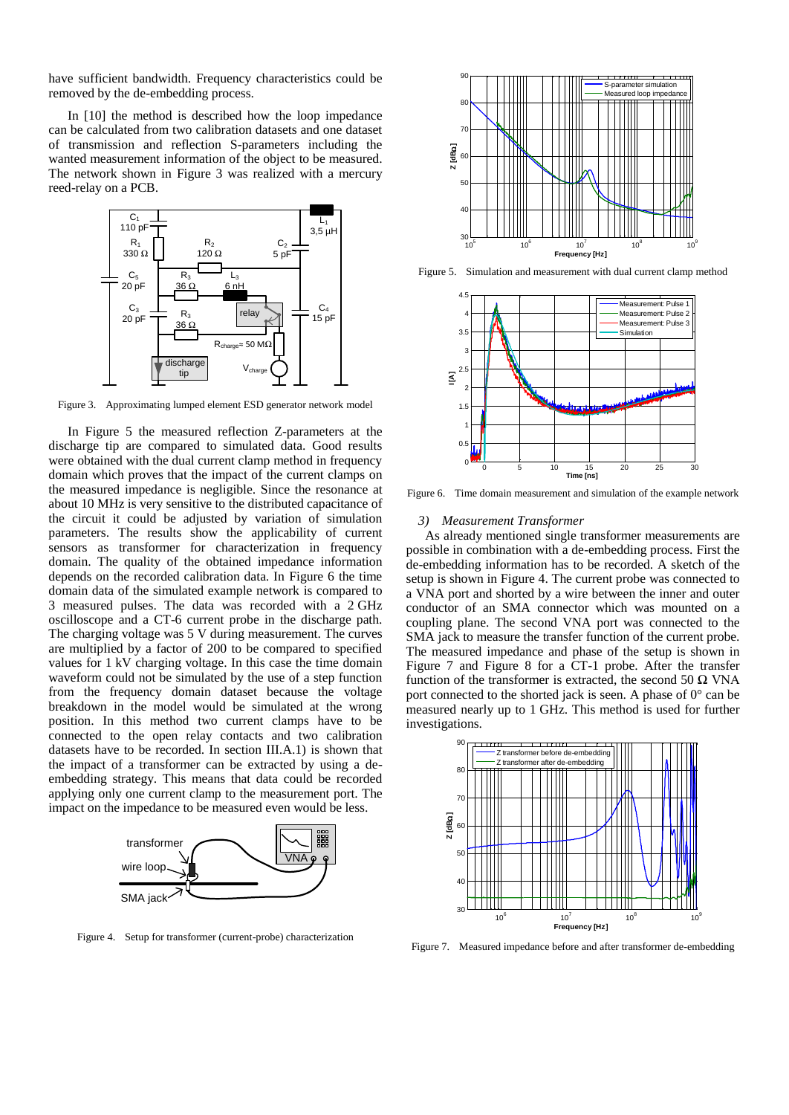have sufficient bandwidth. Frequency characteristics could be removed by the de-embedding process.

In [\[10\]](#page-5-9) the method is described how the loop impedance can be calculated from two calibration datasets and one dataset of transmission and reflection S-parameters including the wanted measurement information of the object to be measured. The network shown in Figure 3 was realized with a mercury reed-relay on a PCB.



Figure 3. Approximating lumped element ESD generator network model

In Figure 5 the measured reflection Z-parameters at the discharge tip are compared to simulated data. Good results were obtained with the dual current clamp method in frequency domain which proves that the impact of the current clamps on the measured impedance is negligible. Since the resonance at about 10 MHz is very sensitive to the distributed capacitance of the circuit it could be adjusted by variation of simulation parameters. The results show the applicability of current sensors as transformer for characterization in frequency domain. The quality of the obtained impedance information depends on the recorded calibration data. In Figure 6 the time domain data of the simulated example network is compared to 3 measured pulses. The data was recorded with a 2 GHz oscilloscope and a CT-6 current probe in the discharge path. The charging voltage was 5 V during measurement. The curves are multiplied by a factor of 200 to be compared to specified values for 1 kV charging voltage. In this case the time domain waveform could not be simulated by the use of a step function from the frequency domain dataset because the voltage breakdown in the model would be simulated at the wrong position. In this method two current clamps have to be connected to the open relay contacts and two calibration datasets have to be recorded. In section [III.A.1\)](#page-3-0) is shown that the impact of a transformer can be extracted by using a deembedding strategy. This means that data could be recorded applying only one current clamp to the measurement port. The impact on the impedance to be measured even would be less.



Figure 4. Setup for transformer (current-probe) characterization



Figure 5. Simulation and measurement with dual current clamp method



Figure 6. Time domain measurement and simulation of the example network

# *3) Measurement Transformer*

As already mentioned single transformer measurements are possible in combination with a de-embedding process. First the de-embedding information has to be recorded. A sketch of the setup is shown in Figure 4. The current probe was connected to a VNA port and shorted by a wire between the inner and outer conductor of an SMA connector which was mounted on a coupling plane. The second VNA port was connected to the SMA jack to measure the transfer function of the current probe. The measured impedance and phase of the setup is shown in Figure 7 and Figure 8 for a CT-1 probe. After the transfer function of the transformer is extracted, the second 50  $\Omega$  VNA port connected to the shorted jack is seen. A phase of 0° can be measured nearly up to 1 GHz. This method is used for further investigations.



Figure 7. Measured impedance before and after transformer de-embedding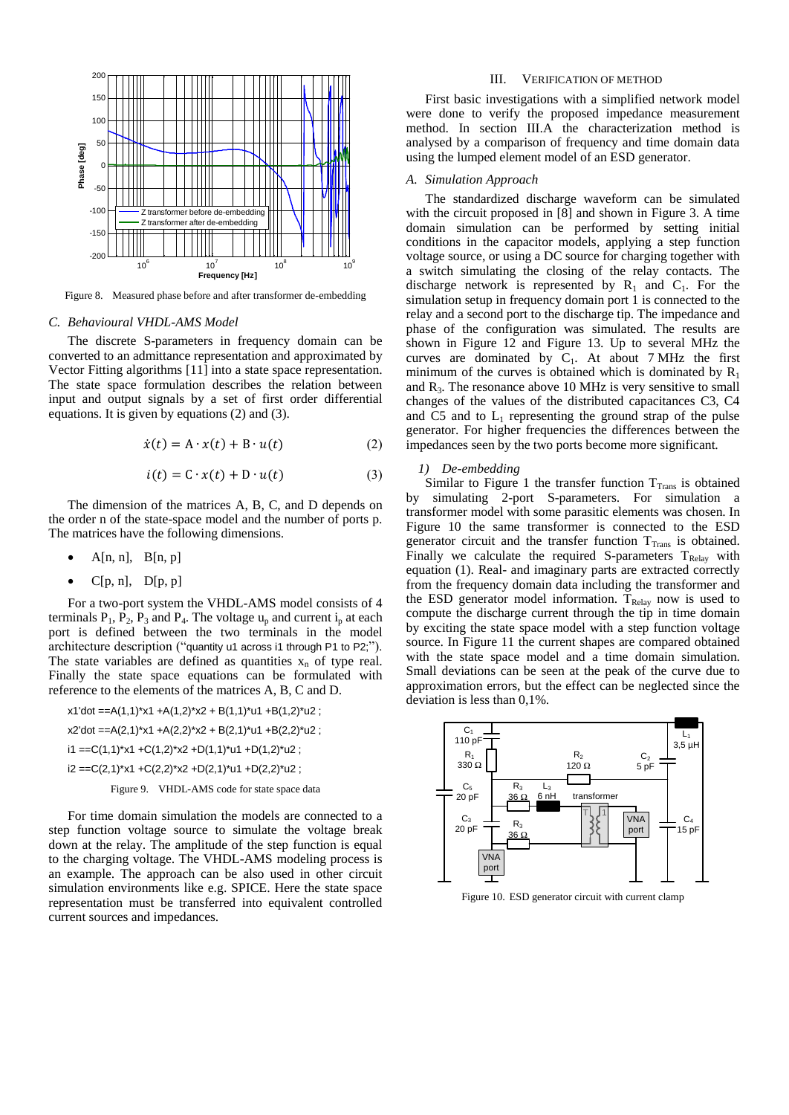

Figure 8. Measured phase before and after transformer de-embedding

#### *C. Behavioural VHDL-AMS Model*

The discrete S-parameters in frequency domain can be converted to an admittance representation and approximated by Vector Fitting algorithms [\[11\]](#page-5-10) into a state space representation. The state space formulation describes the relation between input and output signals by a set of first order differential equations. It is given by equations (2) and (3).

$$
\dot{x}(t) = A \cdot x(t) + B \cdot u(t) \tag{2}
$$

$$
i(t) = C \cdot x(t) + D \cdot u(t) \tag{3}
$$

The dimension of the matrices A, B, C, and D depends on the order n of the state-space model and the number of ports p. The matrices have the following dimensions.

- $A[n, n], B[n, p]$
- $C[p, n], D[p, p]$

For a two-port system the VHDL-AMS model consists of 4 terminals  $P_1$ ,  $P_2$ ,  $P_3$  and  $P_4$ . The voltage  $u_p$  and current  $i_p$  at each port is defined between the two terminals in the model architecture description ("quantity u1 across i1 through P1 to P2;"). The state variables are defined as quantities  $x_n$  of type real. Finally the state space equations can be formulated with reference to the elements of the matrices A, B, C and D.

 $x1'$ dot ==A(1,1)\* $x1 + A(1,2)$ \* $x2 + B(1,1)$ \*u1 +B(1,2)\*u2 ;  $x2'$ dot ==A(2,1)\* $x1 + A(2,2)$ \* $x2 + B(2,1)$ \*u1 +B(2,2)\*u2 ;  $i1 = C(1,1)*x1 + C(1,2)*x2 + D(1,1)*u1 + D(1,2)*u2$ ;  $i2 = C(2,1)*x1 + C(2,2)*x2 + D(2,1)*u1 + D(2,2)*u2$ ;

Figure 9. VHDL-AMS code for state space data

For time domain simulation the models are connected to a step function voltage source to simulate the voltage break down at the relay. The amplitude of the step function is equal to the charging voltage. The VHDL-AMS modeling process is an example. The approach can be also used in other circuit simulation environments like e.g. SPICE. Here the state space representation must be transferred into equivalent controlled current sources and impedances.

# III. VERIFICATION OF METHOD

First basic investigations with a simplified network model were done to verify the proposed impedance measurement method. In section [III.A](#page-3-1) the characterization method is analysed by a comparison of frequency and time domain data using the lumped element model of an ESD generator.

## <span id="page-3-1"></span>*A. Simulation Approach*

The standardized discharge waveform can be simulated with the circuit proposed in [\[8\]](#page-5-7) and shown in Figure 3. A time domain simulation can be performed by setting initial conditions in the capacitor models, applying a step function voltage source, or using a DC source for charging together with a switch simulating the closing of the relay contacts. The discharge network is represented by  $R_1$  and  $C_1$ . For the simulation setup in frequency domain port 1 is connected to the relay and a second port to the discharge tip. The impedance and phase of the configuration was simulated. The results are shown in Figure 12 and Figure 13. Up to several MHz the curves are dominated by  $C_1$ . At about 7 MHz the first minimum of the curves is obtained which is dominated by  $R_1$ and  $R_3$ . The resonance above 10 MHz is very sensitive to small changes of the values of the distributed capacitances C3, C4 and C5 and to  $L_1$  representing the ground strap of the pulse generator. For higher frequencies the differences between the impedances seen by the two ports become more significant.

# <span id="page-3-0"></span>*1) De-embedding*

Similar to Figure 1 the transfer function  $T_{Trans}$  is obtained by simulating 2-port S-parameters. For simulation a transformer model with some parasitic elements was chosen. In Figure 10 the same transformer is connected to the ESD generator circuit and the transfer function  $T<sub>Trans</sub>$  is obtained. Finally we calculate the required S-parameters  $T_{Relay}$  with equation (1). Real- and imaginary parts are extracted correctly from the frequency domain data including the transformer and the ESD generator model information. T<sub>Relay</sub> now is used to compute the discharge current through the tip in time domain by exciting the state space model with a step function voltage source. In Figure 11 the current shapes are compared obtained with the state space model and a time domain simulation. Small deviations can be seen at the peak of the curve due to approximation errors, but the effect can be neglected since the deviation is less than 0,1%.



Figure 10. ESD generator circuit with current clamp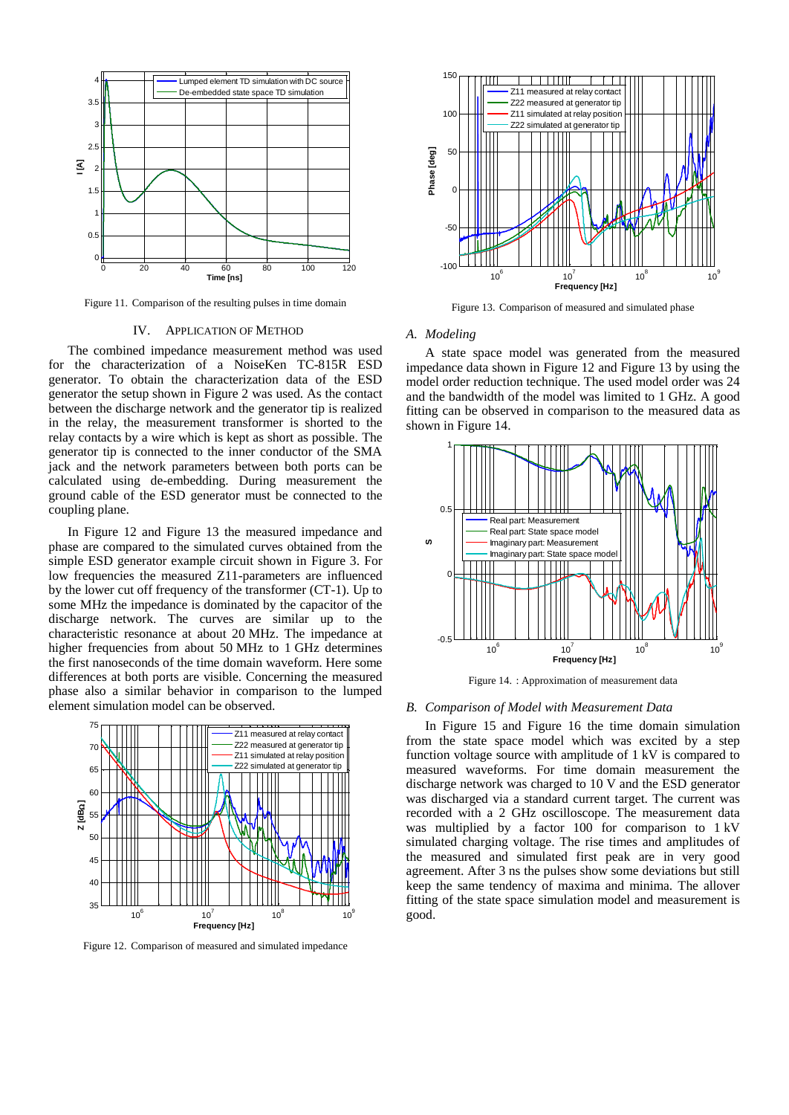

Figure 11. Comparison of the resulting pulses in time domain

#### IV. APPLICATION OF METHOD

The combined impedance measurement method was used for the characterization of a NoiseKen TC-815R ESD generator. To obtain the characterization data of the ESD generator the setup shown in Figure 2 was used. As the contact between the discharge network and the generator tip is realized in the relay, the measurement transformer is shorted to the relay contacts by a wire which is kept as short as possible. The generator tip is connected to the inner conductor of the SMA jack and the network parameters between both ports can be calculated using de-embedding. During measurement the ground cable of the ESD generator must be connected to the coupling plane.

In Figure 12 and Figure 13 the measured impedance and phase are compared to the simulated curves obtained from the simple ESD generator example circuit shown in Figure 3. For low frequencies the measured Z11-parameters are influenced by the lower cut off frequency of the transformer (CT-1). Up to some MHz the impedance is dominated by the capacitor of the discharge network. The curves are similar up to the characteristic resonance at about 20 MHz. The impedance at higher frequencies from about 50 MHz to 1 GHz determines the first nanoseconds of the time domain waveform. Here some differences at both ports are visible. Concerning the measured phase also a similar behavior in comparison to the lumped element simulation model can be observed.



Figure 12. Comparison of measured and simulated impedance



Figure 13. Comparison of measured and simulated phase

## *A. Modeling*

A state space model was generated from the measured impedance data shown in Figure 12 and Figure 13 by using the model order reduction technique. The used model order was 24 and the bandwidth of the model was limited to 1 GHz. A good fitting can be observed in comparison to the measured data as shown in Figure 14.



Figure 14. : Approximation of measurement data

## *B. Comparison of Model with Measurement Data*

In Figure 15 and Figure 16 the time domain simulation from the state space model which was excited by a step function voltage source with amplitude of 1 kV is compared to measured waveforms. For time domain measurement the discharge network was charged to 10 V and the ESD generator was discharged via a standard current target. The current was recorded with a 2 GHz oscilloscope. The measurement data was multiplied by a factor 100 for comparison to 1 kV simulated charging voltage. The rise times and amplitudes of the measured and simulated first peak are in very good agreement. After 3 ns the pulses show some deviations but still keep the same tendency of maxima and minima. The allover fitting of the state space simulation model and measurement is good.